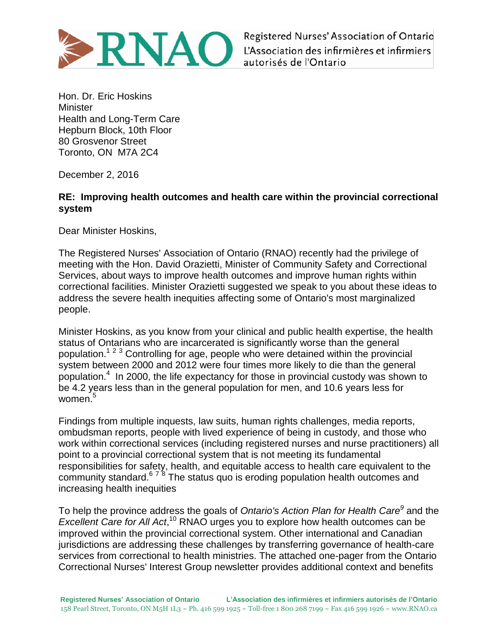

Registered Nurses' Association of Ontario L'Association des infirmières et infirmiers autorisés de l'Ontario

Hon. Dr. Eric Hoskins **Minister** Health and Long-Term Care Hepburn Block, 10th Floor 80 Grosvenor Street Toronto, ON M7A 2C4

December 2, 2016

## **RE: Improving health outcomes and health care within the provincial correctional system**

Dear Minister Hoskins,

The Registered Nurses' Association of Ontario (RNAO) recently had the privilege of meeting with the Hon. David Orazietti, Minister of Community Safety and Correctional Services, about ways to improve health outcomes and improve human rights within correctional facilities. Minister Orazietti suggested we speak to you about these ideas to address the severe health inequities affecting some of Ontario's most marginalized people.

Minister Hoskins, as you know from your clinical and public health expertise, the health status of Ontarians who are incarcerated is significantly worse than the general population.<sup>1</sup> <sup>2</sup> <sup>3</sup> Controlling for age, people who were detained within the provincial system between 2000 and 2012 were four times more likely to die than the general population. 4 In 2000, the life expectancy for those in provincial custody was shown to be 4.2 years less than in the general population for men, and 10.6 years less for women.<sup>5</sup>

Findings from multiple inquests, law suits, human rights challenges, media reports, ombudsman reports, people with lived experience of being in custody, and those who work within correctional services (including registered nurses and nurse practitioners) all point to a provincial correctional system that is not meeting its fundamental responsibilities for safety, health, and equitable access to health care equivalent to the community standard.<sup>678</sup> The status quo is eroding population health outcomes and increasing health inequities

To help the province address the goals of *Ontario's Action Plan for Health Care<sup>9</sup>* and the Excellent Care for All Act,<sup>10</sup> RNAO urges you to explore how health outcomes can be improved within the provincial correctional system. Other international and Canadian jurisdictions are addressing these challenges by transferring governance of health-care services from correctional to health ministries. The attached one-pager from the Ontario Correctional Nurses' Interest Group newsletter provides additional context and benefits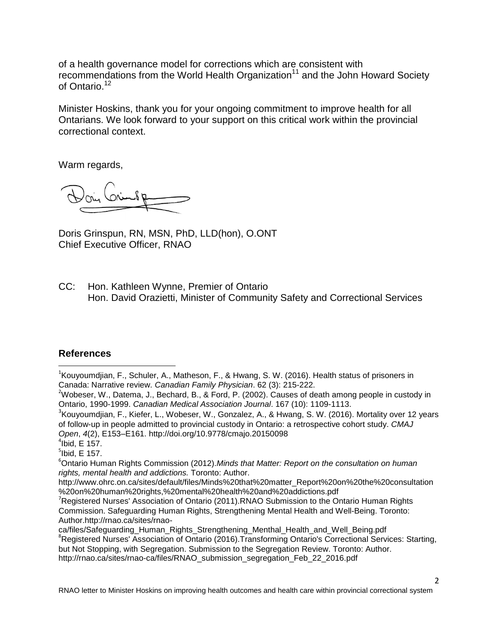of a health governance model for corrections which are consistent with recommendations from the World Health Organization<sup>11</sup> and the John Howard Society of Ontario.<sup>12</sup>

Minister Hoskins, thank you for your ongoing commitment to improve health for all Ontarians. We look forward to your support on this critical work within the provincial correctional context.

Warm regards,

Doris Grinspun, RN, MSN, PhD, LLD(hon), O.ONT Chief Executive Officer, RNAO

CC: Hon. Kathleen Wynne, Premier of Ontario Hon. David Orazietti, Minister of Community Safety and Correctional Services

## **References**

 $\overline{a}$ 

<sup>1</sup>Kouyoumdjian, F., Schuler, A., Matheson, F., & Hwang, S. W. (2016). Health status of prisoners in Canada: Narrative review. *Canadian Family Physician*. 62 (3): 215-222.

 $2$ Wobeser, W., Datema, J., Bechard, B., & Ford, P. (2002). Causes of death among people in custody in Ontario, 1990-1999. *Canadian Medical Association Journal*. 167 (10): 1109-1113.

<sup>3</sup>Kouyoumdjian, F., Kiefer, L., Wobeser, W., Gonzalez, A., & Hwang, S. W. (2016). Mortality over 12 years of follow-up in people admitted to provincial custody in Ontario: a retrospective cohort study. *CMAJ Open*, *4*(2), E153–E161. http://doi.org/10.9778/cmajo.20150098

 $5$ lbid, E 157.

<sup>6</sup>Ontario Human Rights Commission (2012).*Minds that Matter: Report on the consultation on human rights, mental health and addictions.* Toronto: Author.

http://www.ohrc.on.ca/sites/default/files/Minds%20that%20matter\_Report%20on%20the%20consultation %20on%20human%20rights,%20mental%20health%20and%20addictions.pdf

ca/files/Safeguarding\_Human\_Rights\_Strengthening\_Menthal\_Health\_and\_Well\_Being.pdf

 $4$ Ibid, E 157.

<sup>&</sup>lt;sup>7</sup>Registered Nurses' Association of Ontario (2011).RNAO Submission to the Ontario Human Rights Commission. Safeguarding Human Rights, Strengthening Mental Health and Well-Being. Toronto: Author.http://rnao.ca/sites/rnao-

<sup>&</sup>lt;sup>8</sup>Registered Nurses' Association of Ontario (2016). Transforming Ontario's Correctional Services: Starting, but Not Stopping, with Segregation. Submission to the Segregation Review. Toronto: Author.

http://rnao.ca/sites/rnao-ca/files/RNAO\_submission\_segregation\_Feb\_22\_2016.pdf